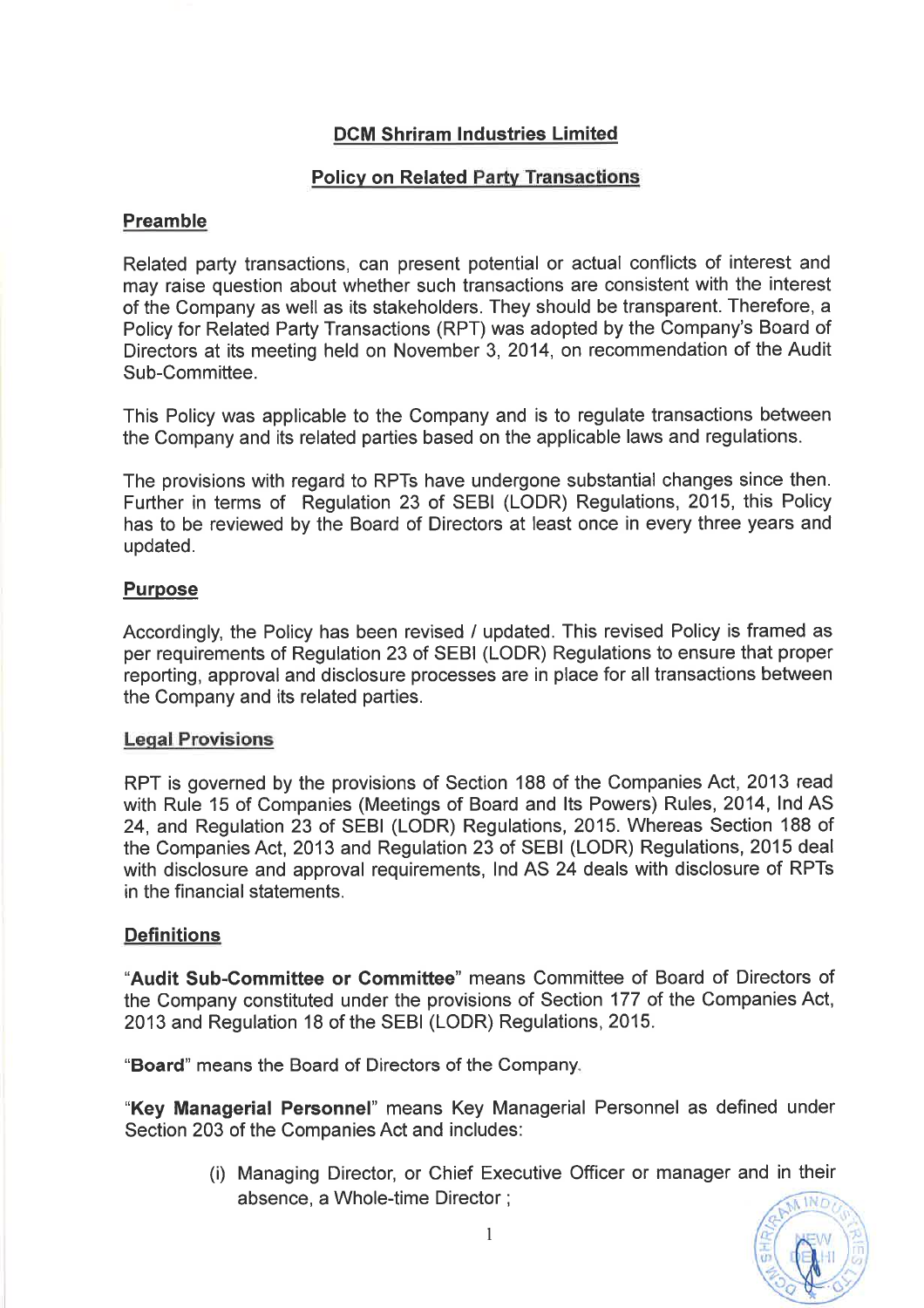# DCM Shriram lndustries Limited

## Policv on Related Party Transactions

### Preamble

Related party transactions, can present potential or actual conflicts of interest and may raise question about whether such transactions are consistent with the interest of the Company as well as its stakeholders. They should be transparent. Therefore, a Policy for Related Party Transactions (RPT) was adopted by the Company's Board of Directors at its meeting held on November 3, 2014, on recommendation of the Audit Sub-Committee.

This Policy was applicable to the Company and is to regulate transactions between the Company and its related parties based on the applicable laws and regulations.

The provisions with regard to RPTs have undergone substantial changes since then. Further in terms of Regulation 23 of SEBI (LODR) Regulations, 2015, this Policy has to be reviewed by the Board of Directors at least once in every three years and updated.

### **Purpose**

Accordingly, the Policy has been revised / updated. This revised Policy is framed as per requirements of Regulation 23 of SEBI (LODR) Regulations to ensure that proper reporting, approval and disclosure processes are in place for all transactions between the Company and its related parties.

#### Leqal Provisions

RPT is governed by the provisions of Section 188 of the Companies Act, 2013 read with Rule 15 of Companies (Meetings of Board and Its Powers) Rules, 2014, Ind AS 24, and Regulation 23 of SEBI (LODR) Regulations, 2015. Whereas Section 188 of the Companies Act, 2013 and Regulation 23 of SEBI (LODR) Regulations, 2015 deal with disclosure and approval requirements, lnd AS 24 deals with disclosure of RPTs in the financial statements.

### **Definitions**

"Audit Sub-Committee or Committee" means Committee of Board of Directors of the Company constituted under the provisions of Section 177 of the Companies Act, 2013 and Regulation 18 of the SEBI (LODR) Regulations,2015.

"Board" means the Board of Directors of the Company.

"Key Managerial Personnel" means Key Managerial Personnel as defined under Section 203 of the Companies Act and includes:

> (i) Managing Director, or Chief Executive Officer or manager and in their absence, a Whole-time Director ;

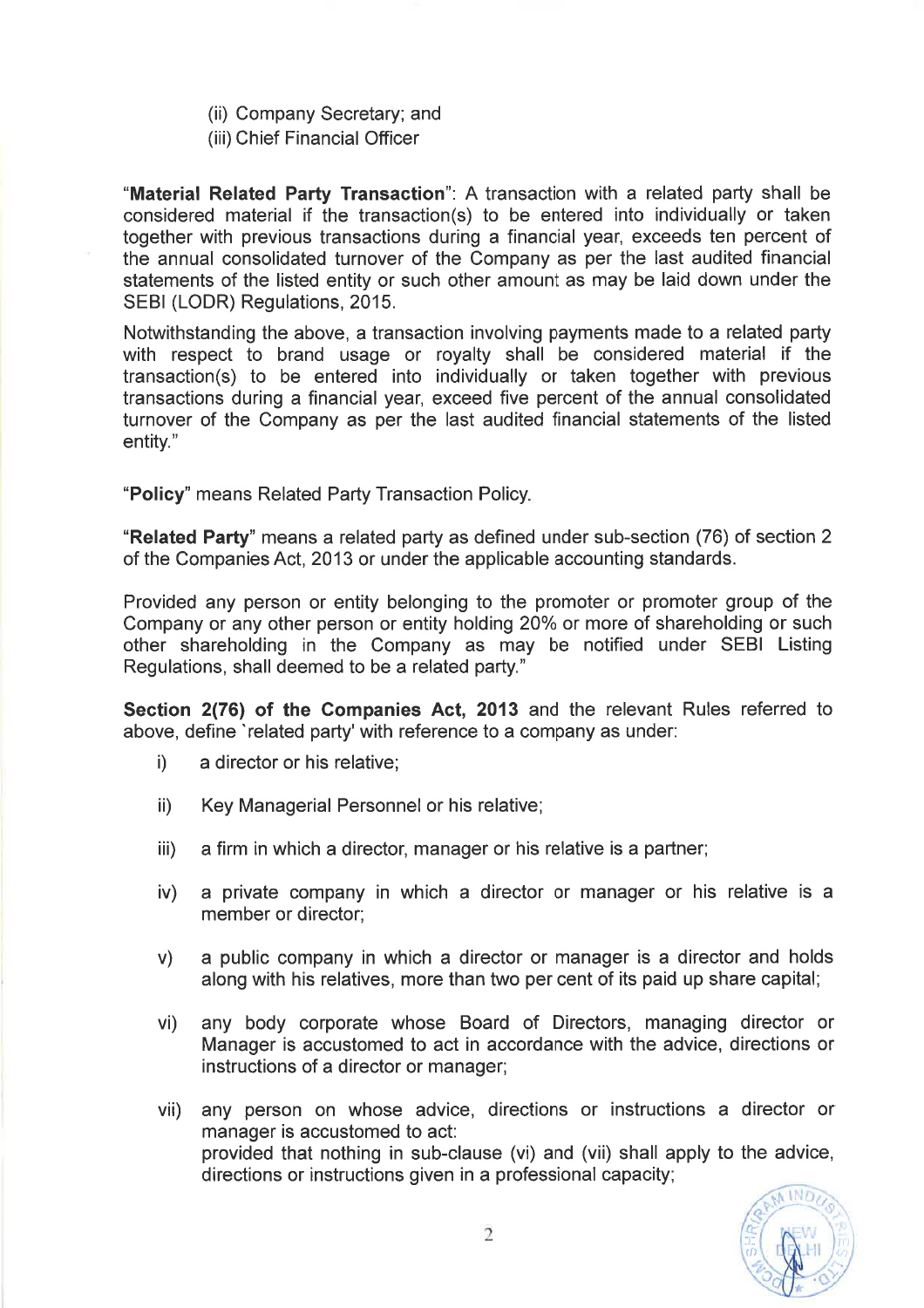- (ii) Company Secretary; and
- (iii) Chief Financial Officer

"Material Related Party Transaction": A transaction with a related party shall be considered material if the transaction(s) to be entered into individually or taken together with previous transactions during a financial year, exceeds ten percent of the annual consolidated turnover of the Company as per the last audited financial statements of the listed entity or such other amount as may be laid down under the SEBI (LODR) Regulations, 2015.

Notwithstanding the above, a transaction involving payments made to a related party with respect to brand usage or royalty shall be considered material if the transaction(s) to be entered into individually or taken together with previous transactions during a financial year, exceed five percent of the annual consolidated turnover of the Company as per the last audited financial statements of the listed entity."

"Policy" means Related Party Transaction Policy

"Related Party" means a related party as defined under sub-section (76) of section 2 of the Companies Act, 2013 or under the applicable accounting standards.

Provided any person or entity belonging to the promoter or promoter group of the Company or any other person or entity holding 20% or more of shareholding or such other shareholding in the Company as may be notified under SEBI Listing Regulations, shall deemed to be a related party."

Section 2(76) of the Companies Act, 2013 and the relevant Rules referred to above, define 'related party' with reference to a company as under:

- i) a director or his relative;
- ii) Key Managerial Personnel or his relative;
- iii) a firm in which a director, manager or his relative is a partner;
- iv) a private company in which a director or manager or his relative is a member or director;
- v) a public company in which a director or manager is a director and holds along with his relatives, more than two per cent of its paid up share capital;
- vi) any body corporate whose Board of Directors, managing director or Manager is accustomed to act in accordance with the advice, directions or instructions of a director or manager;
- vii) any person on whose advice, directions or instructions a director or manager is accustomed to act: provided that nothing in sub-clause (vi) and (vii) shall apply to the advice, directions or instructions given in a professional capacity;

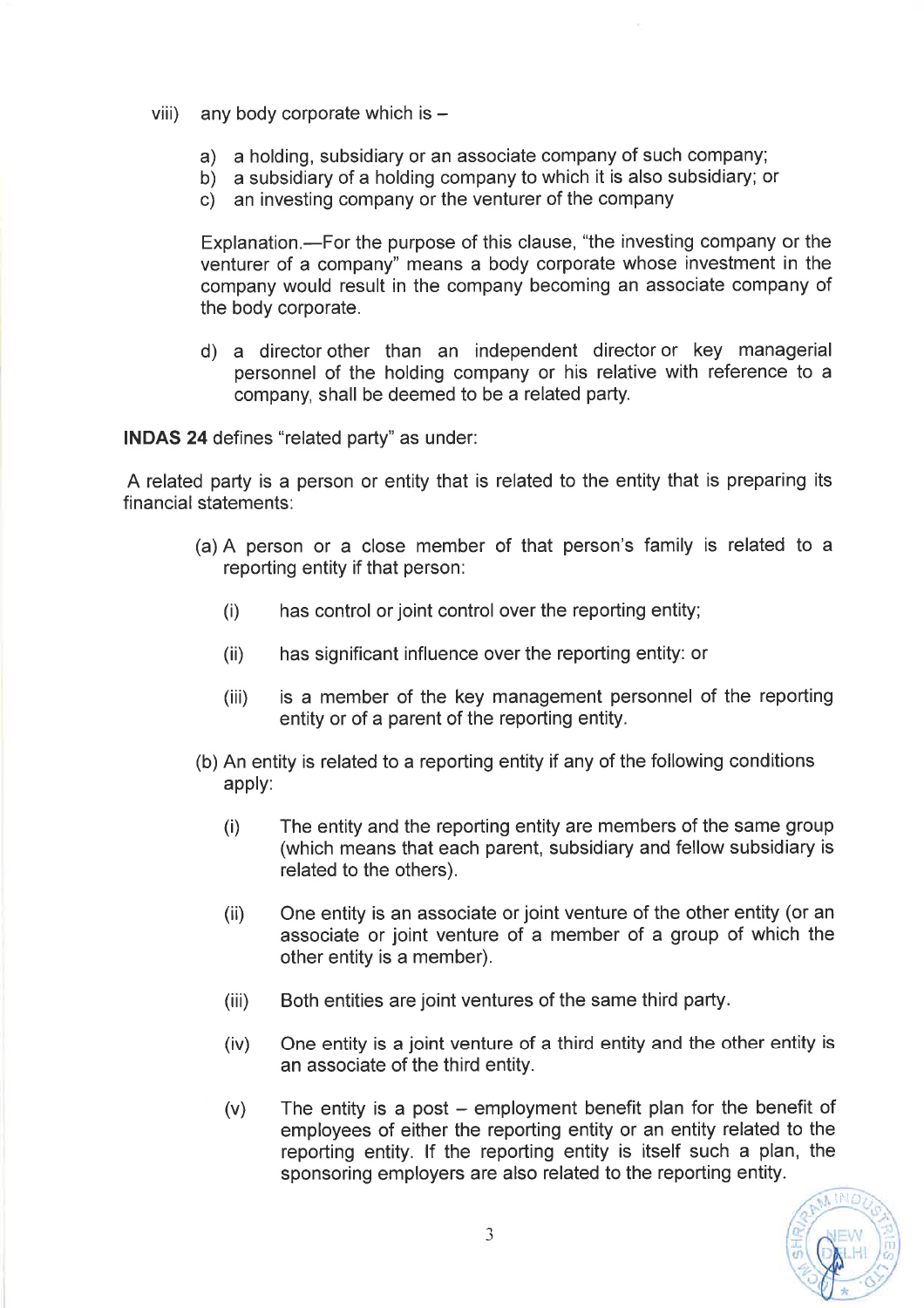- viii) any body corporate which is  $-$ 
	-
	- a) a holding, subsidiary or an associate company of such company; b) a subsidiary of a holding company to which it is also subsidiary; or c) an investing company or the venturer of the company
	-

Explanation.—For the purpose of this clause, "the investing company or the venturer of a company" means a body corporate whose investment in the company would result in the company becoming an associate company of the body corporate.

d) a director other than an independent director or key managerial personnel of the holding company or his relative with reference to a company, shall be deemed to be a related party.

INDAS 24 defines "related party" as under:

A related party is a person or entity that is related to the entity that is preparing its financial statements:

- (a) A person or a close member of that person's family is related to a reporting entity if that person:
	- (i) has control or joint control over the reporting entity;
	- (ii) has significant influence over the reporting entity: or
	- (iii) is a member of the key management personnel of the reporting entity or of a parent of the reporting entity.
- (b) An entity is related to a reporting entity if any of the following conditions apply:
	- (i) The entity and the reporting entity are members of the same group (which means that each parent, subsidiary and fellow subsidiary is related to the others).
	- (ii) One entity is an associate or joint venture of the other entity (or an associate or joint venture of a member of a group of which the other entity is a member).
	- (iii) Both entities are joint ventures of the same third party.
	- (iv) One entity is a joint venture of a third entity and the other entity is an associate of the third entity.
	- $(v)$  The entity is a post employment benefit plan for the benefit of employees of either the reporting entity or an entity related to the reporting entity. lf the reporting entity is itself such a plan, the sponsoring employers are also related to the reporting entity.

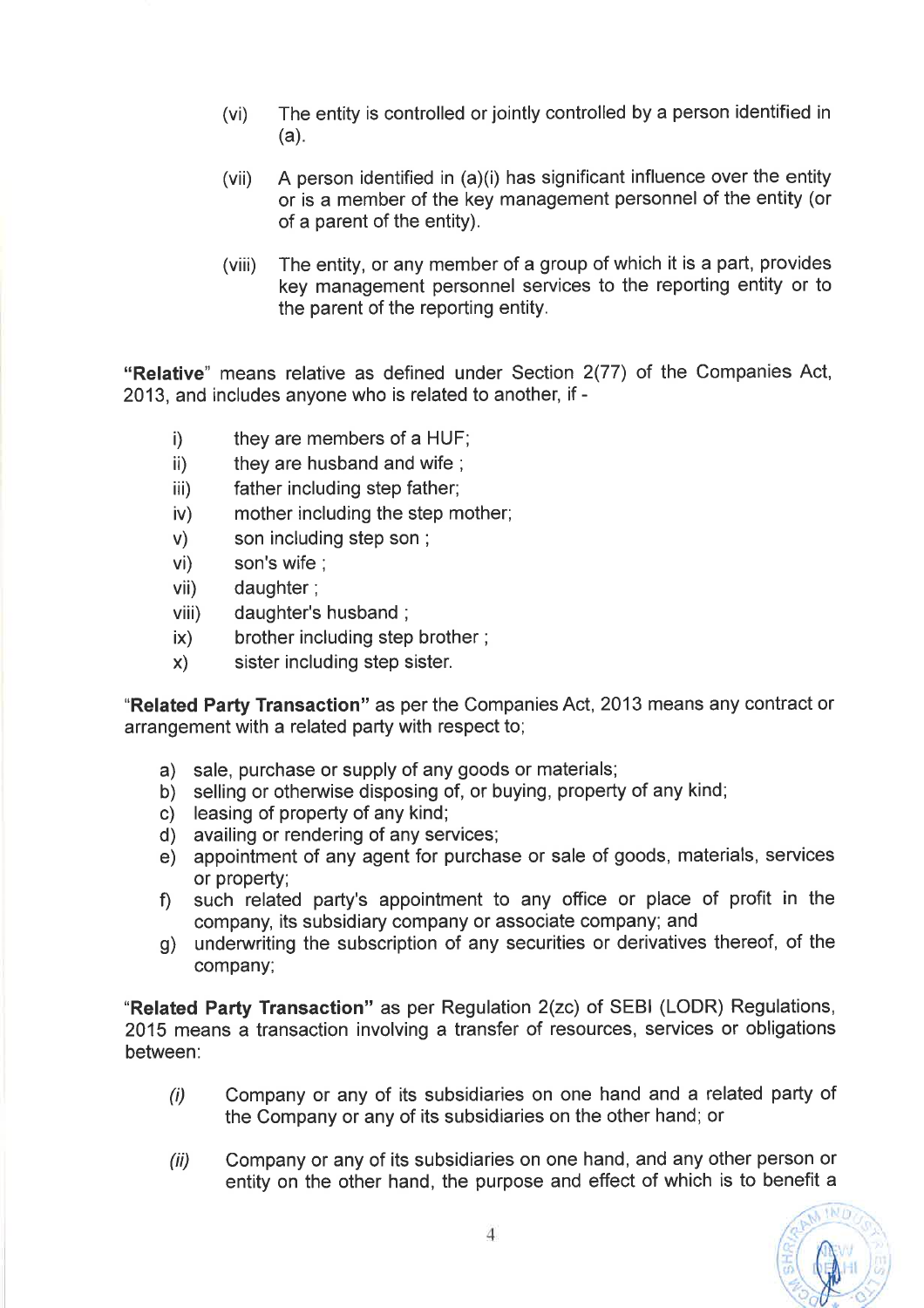- (vi) The entity is controlled or jointly controlled by a person identified in (a).
- (vii) A person identified in  $(a)(i)$  has significant influence over the entity or is a member of the key management personnel of the entity (or of a parent of the entity).
- (viii) The entity, or any member of a group of which it is a part, provides key management personnel services to the reporting entity or to the parent of the reporting entity.

"Relative" means relative as defined under Section 2(77) of the Companies Act, 2013, and includes anyone who is related to another, if -

- 
- 
- 
- (i) they are members of a HUF;<br>
ii) they are husband and wife;<br>
iii) father including step father;<br>
w) mother including the step mother;<br>
wi) son's wife;<br>
viii) daughter;<br>
viii) daughter's husband;<br>
x) brother including st
- 
- 
- 
- 
- 
- 

"Related Party Transaction" as per the Companies Act, 2013 means any contract or arrangement with a related party with respect to;

- 
- 
- 
- 
- (a) sale, purchase or supply of any goods or materials;<br>
(b) selling or otherwise disposing of, or buying, property of any kind;<br>
(c) leasing of property of any kind;<br>
(d) availing or rendering of any services;<br>
(e) appoin
- f) such related party's appointment to any office or place of profit in the company, its subsidiary company or associate company; and
- g) underwriting the subscription of any securities or derivatives thereof, of the company;

"Related Party Transaction" as per Regulation 2(zc) of SEBI (LODR) Regulations, 2015 means a transaction involving a transfer of resources, services or obligations between:

- Company or any of its subsidiaries on one hand and a related party of the Company or any of its subsidiaries on the other hand; or (i)
- Company or any of its subsidiaries on one hand, and any other person or entity on the other hand, the purpose and effect of which is to benefit a (ii)

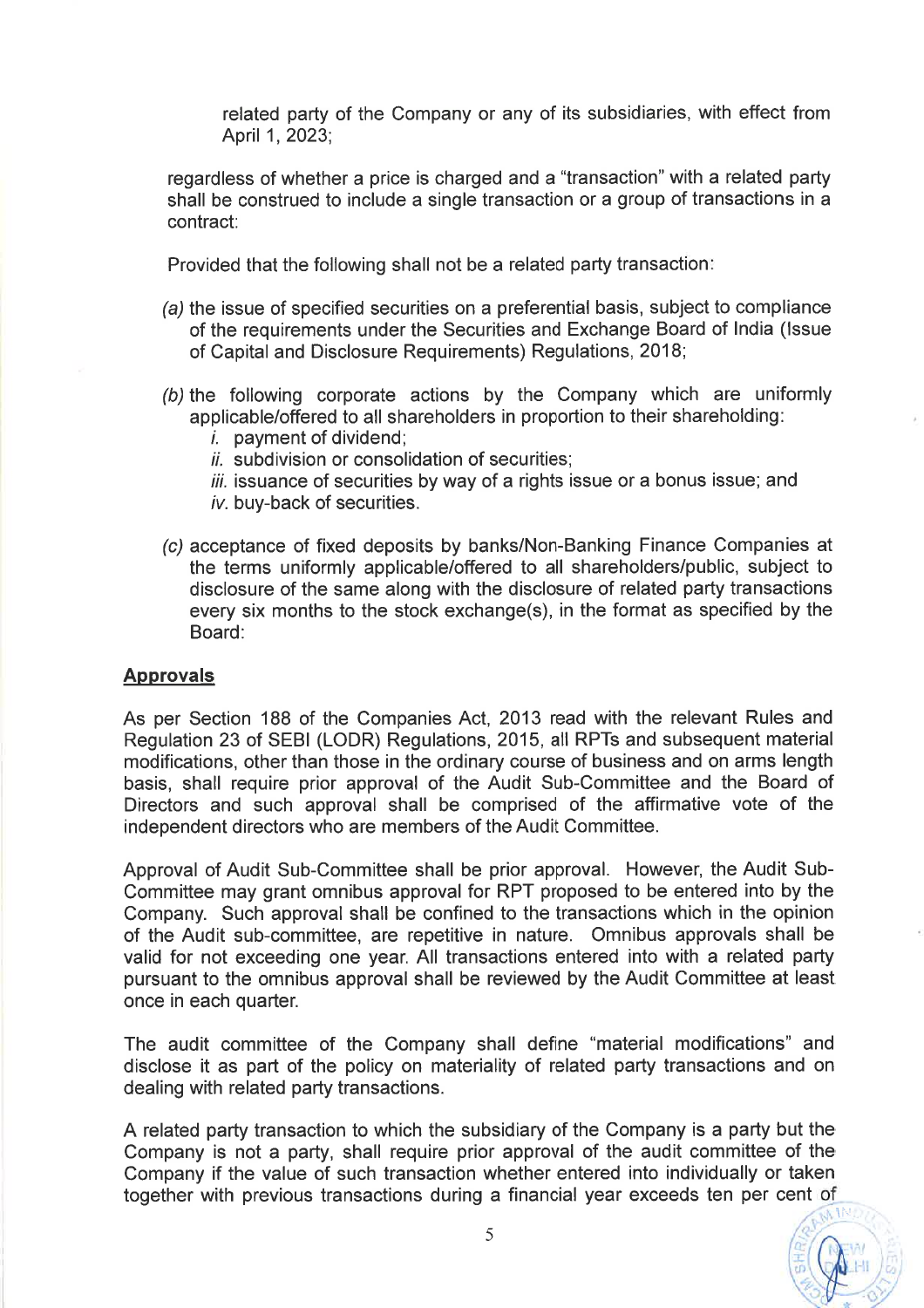related party of the Company or any of its subsidiaries, with effect from April <sup>1</sup>,2023;

regardless of whether a price is charged and a "transaction" with a related party shall be construed to include a single transaction or a group of transactions in a contract:

Provided that the following shall not be a related party transaction:

- (a) the issue of specified securities on a preferential basis, subject to compliance of the requirements under the Securities and Exchange Board of India (lssue of Capital and Disclosure Requirements) Regulations, 2018;
- (b) the following corporate actions by the Company which are uniformly applicable/offered to all shareholders in proportion to their shareholding:
	- $i.$  payment of dividend;
	- $ii$ . subdivision or consolidation of securities:
	- $iii.$  issuance of securities by way of a rights issue or a bonus issue; and iv. buy-back of securities.
- (c) acceptance of fixed deposits by banks/Non-Banking Finance Companies at the terms uniformly applicable/offered to all shareholders/public, subject to disclosure of the same along with the disclosure of related party transactions every six months to the stock exchange(s), in the format as specified by the Board:

#### **Approvals**

As per Section 188 of the Companies Act, 2013 read with the relevant Rules and Regulation 23 of SEBI (LODR) Regulations, 2015, all RPTs and subsequent material modifications, other than those in the ordinary course of business and on arms length basis, shall require prior approval of the Audit Sub-Committee and the Board of Directors and such approval shall be comprised of the affirmative vote of the independent directors who are members of the Audit Committee.

Approval of Audit Sub-Committee shall be prior approval. However, the Audit Sub-Committee may grant omnibus approval for RPT proposed to be entered into by the Company. Such approval shall be confined to the transactions which in the opinion of the Audit sub-committee, are repetitive in nature. Omnibus approvals shall be valid for not exceeding one year. All transactions entered into with a related party pursuant to the omnibus approval shall be reviewed by the Audit Committee at least once in each quarter.

The audit committee of the Company shall define "material modifications" and disclose it as part of the policy on materiality of related party transactions and on dealing with related party transactions.

A related party transaction to which the subsidiary of the Company is a party but the Company is not a party, shall require prior approval of the audit committee of the Company if the value of such transaction whether entered into individually or taken together with previous transactions during <sup>a</sup> financial year exceeds ten per cent of

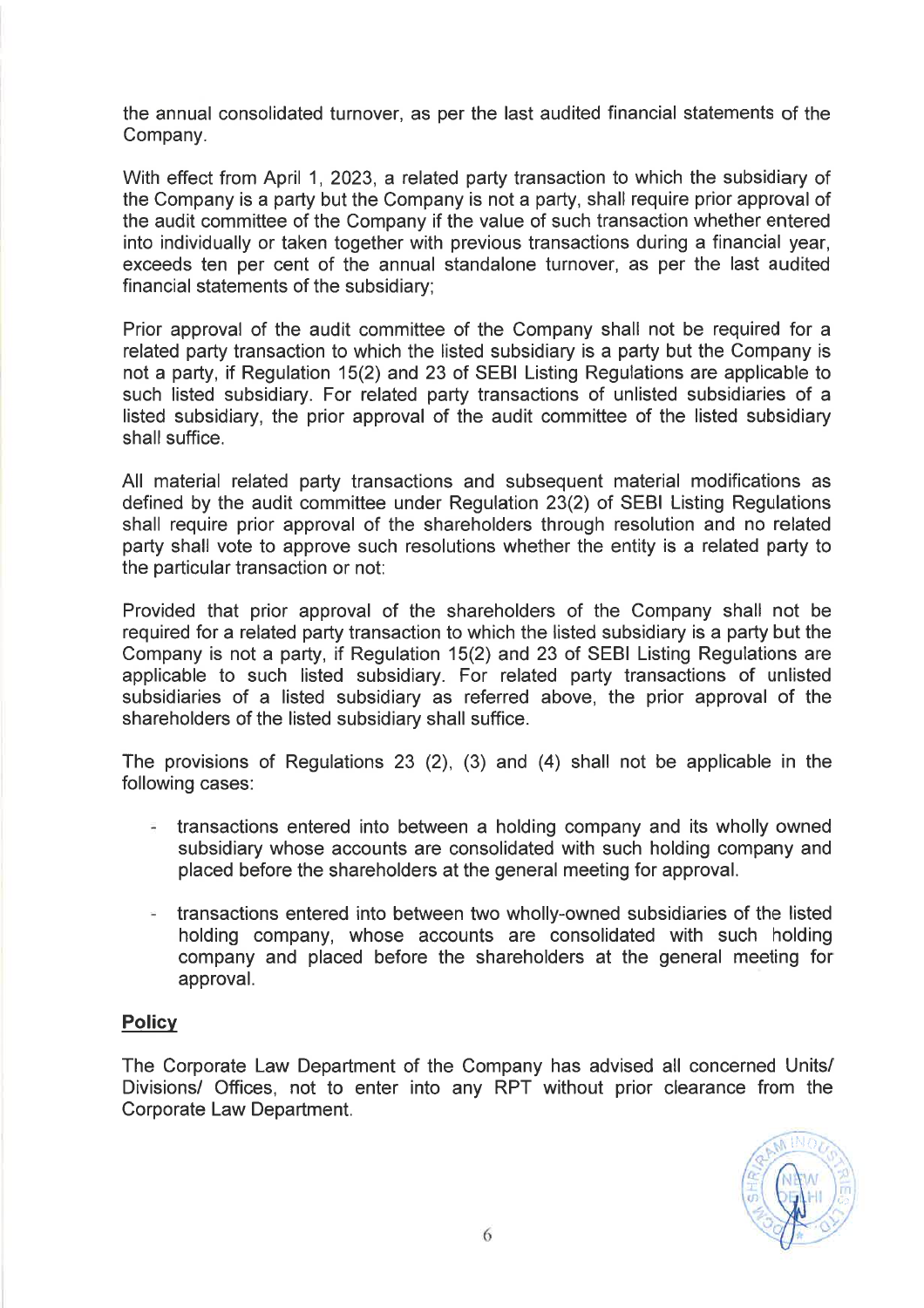the annual consolidated turnover, as per the last audited financial statements of the Company.

With effect from April <sup>1</sup>, 2023, a related party transaction to which the subsidiary of the Company is a party but the Company is not a party, shall require prior approval of the audit committee of the Company if the value of such transaction whether entered into individually or taken together with previous transactions during a financial year, exceeds ten per cent of the annual standalone turnover, as per the last audited financial statements of the subsidiary;

Prior approval of the audit committee of the Company shall not be required for a related party transaction to which the listed subsidiary is a party but the Company is not a party, if Regulation 15(2) and 23 of SEBI Listing Regulations are applicable to such listed subsidiary. For related party transactions of unlisted subsidiaries of a listed subsidiary, the prior approval of the audit committee of the listed subsidiary shall suffice.

All material related party transactions and subsequent material modifications as defined by the audit committee under Regulation 23(2) of SEBI Listing Regulations shall require prior approval of the shareholders through resolution and no related party shall vote to approve such resolutions whether the entity is a related party to the particular transaction or not:

Provided that prior approval of the shareholders of the Company shall not be required for a related party transaction to which the listed subsidiary is a party but the Company is not a party, if Regulation 15(2) and 23 of SEBI Listing Regulations are applicable to such listed subsidiary. For related party transactions of unlisted subsidiaries of a listed subsidiary as referred above, the prior approval of the shareholders of the listed subsidiary shall suffice.

The provisions of Regulations 23 (2), (3) and (4) shall not be applicable in the following cases:

- $\pm$  transactions entered into between a holding company and its wholly owned subsidiary whose accounts are consolidated with such holding company and placed before the shareholders at the general meeting for approval.
- transactions entered into between two wholly-owned subsidiaries of the listed holding company, whose accounts are consolidated with such holding company and placed before the shareholders at the general meeting for approval.

### **Policy**

The Corporate Law Department of the Company has advised all concerned Units/ Divisions/ Offices, not to enter into any RPT without prior clearance from the Corporate Law Department.